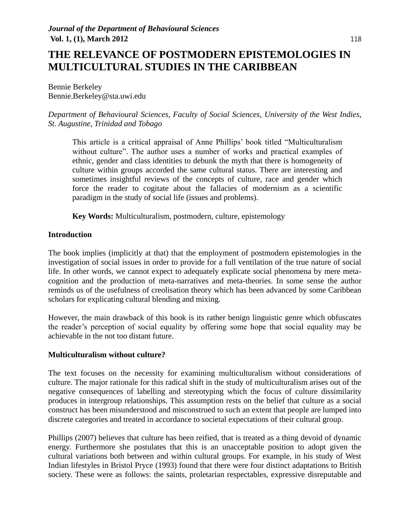# **THE RELEVANCE OF POSTMODERN EPISTEMOLOGIES IN MULTICULTURAL STUDIES IN THE CARIBBEAN**

Bennie Berkeley Bennie.Berkeley@sta.uwi.edu

*Department of Behavioural Sciences, Faculty of Social Sciences, University of the West Indies, St. Augustine, Trinidad and Tobago*

This article is a critical appraisal of Anne Phillips' book titled "Multiculturalism without culture". The author uses a number of works and practical examples of ethnic, gender and class identities to debunk the myth that there is homogeneity of culture within groups accorded the same cultural status. There are interesting and sometimes insightful reviews of the concepts of culture, race and gender which force the reader to cogitate about the fallacies of modernism as a scientific paradigm in the study of social life (issues and problems).

**Key Words:** Multiculturalism, postmodern, culture, epistemology

#### **Introduction**

The book implies (implicitly at that) that the employment of postmodern epistemologies in the investigation of social issues in order to provide for a full ventilation of the true nature of social life. In other words, we cannot expect to adequately explicate social phenomena by mere metacognition and the production of meta-narratives and meta-theories. In some sense the author reminds us of the usefulness of creolisation theory which has been advanced by some Caribbean scholars for explicating cultural blending and mixing.

However, the main drawback of this book is its rather benign linguistic genre which obfuscates the reader's perception of social equality by offering some hope that social equality may be achievable in the not too distant future.

#### **Multiculturalism without culture?**

The text focuses on the necessity for examining multiculturalism without considerations of culture. The major rationale for this radical shift in the study of multiculturalism arises out of the negative consequences of labelling and stereotyping which the focus of culture dissimilarity produces in intergroup relationships. This assumption rests on the belief that culture as a social construct has been misunderstood and misconstrued to such an extent that people are lumped into discrete categories and treated in accordance to societal expectations of their cultural group.

Phillips (2007) believes that culture has been reified, that is treated as a thing devoid of dynamic energy. Furthermore she postulates that this is an unacceptable position to adopt given the cultural variations both between and within cultural groups. For example, in his study of West Indian lifestyles in Bristol Pryce (1993) found that there were four distinct adaptations to British society. These were as follows: the saints, proletarian respectables, expressive disreputable and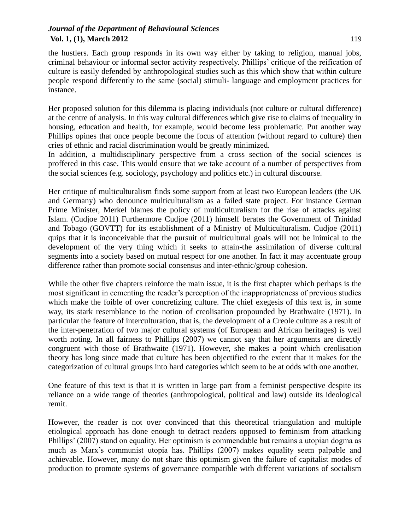the hustlers. Each group responds in its own way either by taking to religion, manual jobs, criminal behaviour or informal sector activity respectively. Phillips' critique of the reification of culture is easily defended by anthropological studies such as this which show that within culture people respond differently to the same (social) stimuli- language and employment practices for instance.

Her proposed solution for this dilemma is placing individuals (not culture or cultural difference) at the centre of analysis. In this way cultural differences which give rise to claims of inequality in housing, education and health, for example, would become less problematic. Put another way Phillips opines that once people become the focus of attention (without regard to culture) then cries of ethnic and racial discrimination would be greatly minimized.

In addition, a multidisciplinary perspective from a cross section of the social sciences is proffered in this case. This would ensure that we take account of a number of perspectives from the social sciences (e.g. sociology, psychology and politics etc.) in cultural discourse.

Her critique of multiculturalism finds some support from at least two European leaders (the UK and Germany) who denounce multiculturalism as a failed state project. For instance German Prime Minister, Merkel blames the policy of multiculturalism for the rise of attacks against Islam. (Cudjoe 2011) Furthermore Cudjoe (2011) himself berates the Government of Trinidad and Tobago (GOVTT) for its establishment of a Ministry of Multiculturalism. Cudjoe (2011) quips that it is inconceivable that the pursuit of multicultural goals will not be inimical to the development of the very thing which it seeks to attain-the assimilation of diverse cultural segments into a society based on mutual respect for one another. In fact it may accentuate group difference rather than promote social consensus and inter-ethnic/group cohesion.

While the other five chapters reinforce the main issue, it is the first chapter which perhaps is the most significant in cementing the reader's perception of the inappropriateness of previous studies which make the foible of over concretizing culture. The chief exegesis of this text is, in some way, its stark resemblance to the notion of creolisation propounded by Brathwaite (1971). In particular the feature of interculturation, that is, the development of a Creole culture as a result of the inter-penetration of two major cultural systems (of European and African heritages) is well worth noting. In all fairness to Phillips (2007) we cannot say that her arguments are directly congruent with those of Brathwaite (1971). However, she makes a point which creolisation theory has long since made that culture has been objectified to the extent that it makes for the categorization of cultural groups into hard categories which seem to be at odds with one another.

One feature of this text is that it is written in large part from a feminist perspective despite its reliance on a wide range of theories (anthropological, political and law) outside its ideological remit.

However, the reader is not over convinced that this theoretical triangulation and multiple etiological approach has done enough to detract readers opposed to feminism from attacking Phillips' (2007) stand on equality. Her optimism is commendable but remains a utopian dogma as much as Marx's communist utopia has. Phillips (2007) makes equality seem palpable and achievable. However, many do not share this optimism given the failure of capitalist modes of production to promote systems of governance compatible with different variations of socialism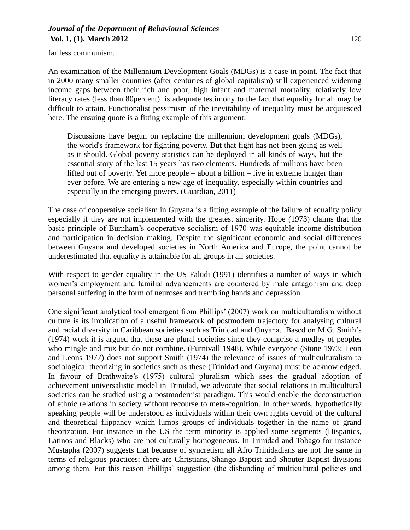far less communism.

An examination of the Millennium Development Goals (MDGs) is a case in point. The fact that in 2000 many smaller countries (after centuries of global capitalism) still experienced widening income gaps between their rich and poor, high infant and maternal mortality, relatively low literacy rates (less than 80percent) is adequate testimony to the fact that equality for all may be difficult to attain. Functionalist pessimism of the inevitability of inequality must be acquiesced here. The ensuing quote is a fitting example of this argument:

Discussions have begun on replacing the millennium development goals (MDGs), the world's framework for fighting poverty. But that fight has not been going as well as it should. Global poverty statistics can be deployed in all kinds of ways, but the essential story of the last 15 years has two elements. Hundreds of millions have been lifted out of poverty. Yet more people – about a billion – live in extreme hunger than ever before. We are entering a new age of inequality, especially within countries and especially in the emerging powers. (Guardian, 2011)

The case of cooperative socialism in Guyana is a fitting example of the failure of equality policy especially if they are not implemented with the greatest sincerity. Hope (1973) claims that the basic principle of Burnham's cooperative socialism of 1970 was equitable income distribution and participation in decision making. Despite the significant economic and social differences between Guyana and developed societies in North America and Europe, the point cannot be underestimated that equality is attainable for all groups in all societies.

With respect to gender equality in the US Faludi (1991) identifies a number of ways in which women's employment and familial advancements are countered by male antagonism and deep personal suffering in the form of neuroses and trembling hands and depression.

One significant analytical tool emergent from Phillips' (2007) work on multiculturalism without culture is its implication of a useful framework of postmodern trajectory for analysing cultural and racial diversity in Caribbean societies such as Trinidad and Guyana. Based on M.G. Smith's (1974) work it is argued that these are plural societies since they comprise a medley of peoples who mingle and mix but do not combine. (Furnivall 1948). While everyone (Stone 1973; Leon and Leons 1977) does not support Smith (1974) the relevance of issues of multiculturalism to sociological theorizing in societies such as these (Trinidad and Guyana) must be acknowledged. In favour of Brathwaite's (1975) cultural pluralism which sees the gradual adoption of achievement universalistic model in Trinidad, we advocate that social relations in multicultural societies can be studied using a postmodernist paradigm. This would enable the deconstruction of ethnic relations in society without recourse to meta-cognition. In other words, hypothetically speaking people will be understood as individuals within their own rights devoid of the cultural and theoretical flippancy which lumps groups of individuals together in the name of grand theorization. For instance in the US the term minority is applied some segments (Hispanics, Latinos and Blacks) who are not culturally homogeneous. In Trinidad and Tobago for instance Mustapha (2007) suggests that because of syncretism all Afro Trinidadians are not the same in terms of religious practices; there are Christians, Shango Baptist and Shouter Baptist divisions among them. For this reason Phillips' suggestion (the disbanding of multicultural policies and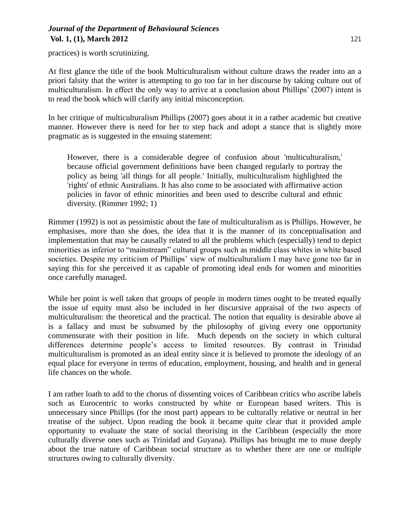practices) is worth scrutinizing.

At first glance the title of the book Multiculturalism without culture draws the reader into an a priori falsity that the writer is attempting to go too far in her discourse by taking culture out of multiculturalism. In effect the only way to arrive at a conclusion about Phillips' (2007) intent is to read the book which will clarify any initial misconception.

In her critique of multiculturalism Phillips (2007) goes about it in a rather academic but creative manner. However there is need for her to step back and adopt a stance that is slightly more pragmatic as is suggested in the ensuing statement:

However, there is a considerable degree of confusion about 'multiculturalism,' because official government definitions have been changed regularly to portray the policy as being 'all things for all people.' Initially, multiculturalism highlighted the 'rights' of ethnic Australians. It has also come to be associated with affirmative action policies in favor of ethnic minorities and been used to describe cultural and ethnic diversity. (Rimmer 1992; 1)

Rimmer (1992) is not as pessimistic about the fate of multiculturalism as is Phillips. However, he emphasises, more than she does, the idea that it is the manner of its conceptualisation and implementation that may be causally related to all the problems which (especially) tend to depict minorities as inferior to "mainstream" cultural groups such as middle class whites in white based societies. Despite my criticism of Phillips' view of multiculturalism I may have gone too far in saying this for she perceived it as capable of promoting ideal ends for women and minorities once carefully managed.

While her point is well taken that groups of people in modern times ought to be treated equally the issue of equity must also be included in her discursive appraisal of the two aspects of multiculturalism: the theoretical and the practical. The notion that equality is desirable above al is a fallacy and must be subsumed by the philosophy of giving every one opportunity commensurate with their position in life. Much depends on the society in which cultural differences determine people's access to limited resources. By contrast in Trinidad multiculturalism is promoted as an ideal entity since it is believed to promote the ideology of an equal place for everyone in terms of education, employment, housing, and health and in general life chances on the whole.

I am rather loath to add to the chorus of dissenting voices of Caribbean critics who ascribe labels such as Eurocentric to works constructed by white or European based writers. This is unnecessary since Phillips (for the most part) appears to be culturally relative or neutral in her treatise of the subject. Upon reading the book it became quite clear that it provided ample opportunity to evaluate the state of social theorising in the Caribbean (especially the more culturally diverse ones such as Trinidad and Guyana). Phillips has brought me to muse deeply about the true nature of Caribbean social structure as to whether there are one or multiple structures owing to culturally diversity.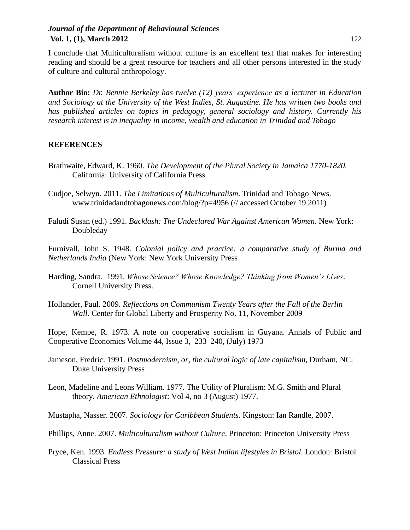I conclude that Multiculturalism without culture is an excellent text that makes for interesting reading and should be a great resource for teachers and all other persons interested in the study of culture and cultural anthropology.

**Author Bio:** *Dr. Bennie Berkeley has twelve (12) years' experience as a lecturer in Education and Sociology at the University of the West Indies, St. Augustine. He has written two books and has published articles on topics in pedagogy, general sociology and history. Currently his research interest is in inequality in income, wealth and education in Trinidad and Tobago*

#### **REFERENCES**

- Brathwaite, Edward, K. 1960. *The Development of the Plural Society in Jamaica 1770-1820*. California: University of California Press
- Cudjoe, Selwyn. 2011. *The Limitations of Multiculturalism*. Trinidad and Tobago News. www.trinidadandtobagonews.com/blog/?p=4956 (// accessed October 19 2011)
- Faludi Susan (ed.) 1991. *Backlash: The Undeclared War Against American Women*. New York: Doubleday

Furnivall, John S. 1948. *Colonial policy and practice: a comparative study of Burma and Netherlands India* (New York: New York University Press

- Harding, Sandra. 1991. *Whose Science? Whose Knowledge? Thinking from Women's Lives*. Cornell University Press.
- Hollander, Paul. 2009. *Reflections on Communism Twenty Years after the Fall of the Berlin Wall*. Center for Global Liberty and Prosperity No. 11, November 2009

Hope, Kempe, R. 1973. A note on cooperative socialism in Guyana. Annals of Public and Cooperative Economics [Volume 44, Issue 3,](http://onlinelibrary.wiley.com/doi/10.1111/apce.1973.44.issue-3/issuetoc) 233–240, (July) 1973

- Jameson, Fredric. 1991. *Postmodernism, or, the cultural logic of late capitalism*, Durham, NC: Duke University Press
- Leon, Madeline and Leons William. 1977. The Utility of Pluralism: M.G. Smith and Plural theory. *American Ethnologist*: Vol 4, no 3 (August) 1977.

Mustapha, Nasser. 2007. *Sociology for Caribbean Students*. Kingston: Ian Randle, 2007.

- Phillips, Anne. 2007. *Multiculturalism without Culture*. Princeton: Princeton University Press
- Pryce, Ken. 1993. *Endless Pressure: a study of West Indian lifestyles in Bristol*. London: Bristol Classical Press